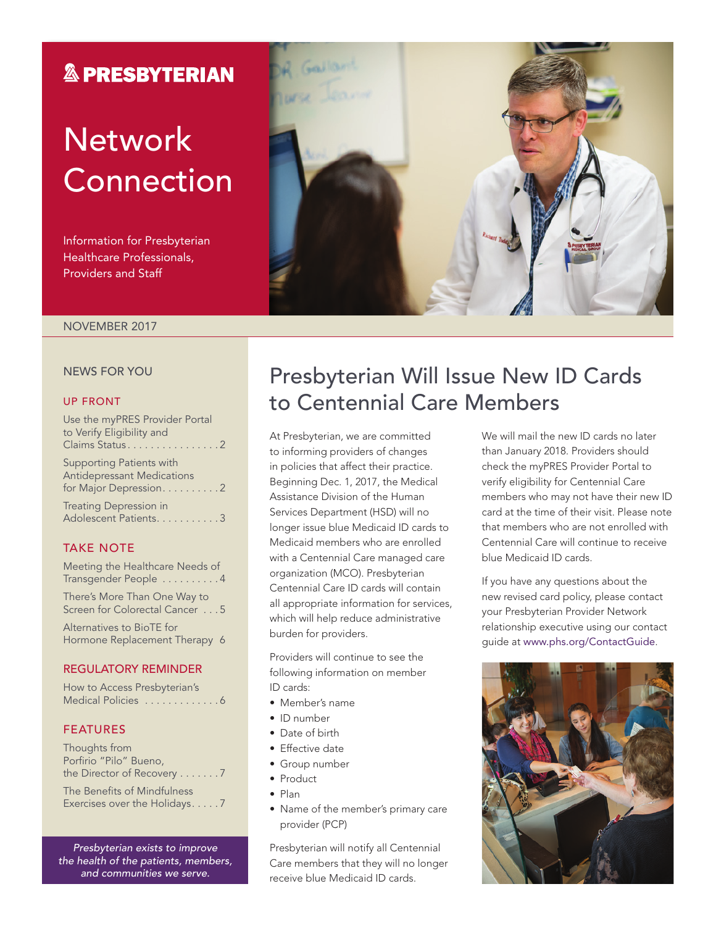### **& PRESBYTERIAN**

# **Network** Connection

Information for Presbyterian Healthcare Professionals, Providers and Staff



#### NOVEMBER 2017

#### NEWS FOR YOU

#### UP FRONT

| Use the myPRES Provider Portal<br>to Verify Eligibility and<br>Claims Status2                   |
|-------------------------------------------------------------------------------------------------|
| <b>Supporting Patients with</b><br><b>Antidepressant Medications</b><br>for Major Depression. 2 |
| <b>Treating Depression in</b><br>Adolescent Patients. 3                                         |

#### TAKE NOTE

Meeting the Healthcare Needs of Transgender People . . . . . . . . . 4

There's More Than One Way to Screen for Colorectal Cancer . . . 5

Alternatives to BioTE for Hormone Replacement Therapy 6

#### REGULATORY REMINDER

| How to Access Presbyterian's |  |  |  |  |  |
|------------------------------|--|--|--|--|--|
| Medical Policies 6           |  |  |  |  |  |

#### FEATURES

| Thoughts from                            |
|------------------------------------------|
| Porfirio "Pilo" Bueno,                   |
| the Director of Recovery $\dots \dots$ . |
| The Benefits of Mindfulness              |

Exercises over the Holidays. . . . . 7

*Presbyterian exists to improve the health of the patients, members, and communities we serve.*

### Presbyterian Will Issue New ID Cards to Centennial Care Members

At Presbyterian, we are committed to informing providers of changes in policies that affect their practice. Beginning Dec. 1, 2017, the Medical Assistance Division of the Human Services Department (HSD) will no longer issue blue Medicaid ID cards to Medicaid members who are enrolled with a Centennial Care managed care organization (MCO). Presbyterian Centennial Care ID cards will contain all appropriate information for services, which will help reduce administrative burden for providers.

Providers will continue to see the following information on member ID cards:

- Member's name
- ID number
- Date of birth
- Effective date
- Group number
- Product
- Plan
- Name of the member's primary care provider (PCP)

Presbyterian will notify all Centennial Care members that they will no longer receive blue Medicaid ID cards.

We will mail the new ID cards no later than January 2018. Providers should check the myPRES Provider Portal to verify eligibility for Centennial Care members who may not have their new ID card at the time of their visit. Please note that members who are not enrolled with Centennial Care will continue to receive blue Medicaid ID cards.

If you have any questions about the new revised card policy, please contact your Presbyterian Provider Network relationship executive using our contact guide at [www.phs.org/ContactGuide](http://www.phs.org/ContactGuide).

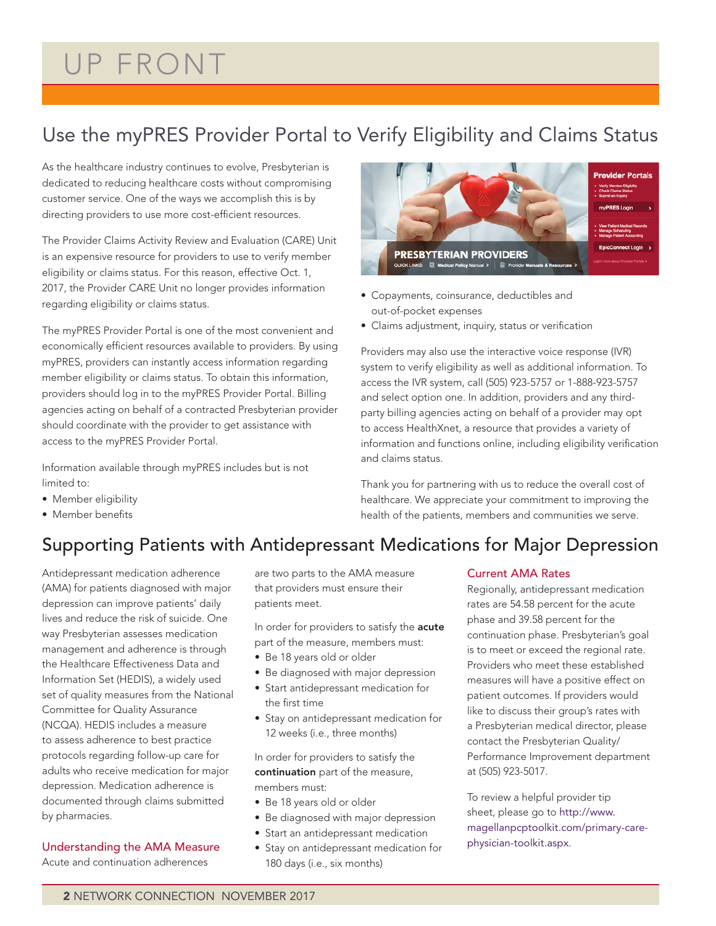## UP FRONT

### Use the myPRES Provider Portal to Verify Eligibility and Claims Status

As the healthcare industry continues to evolve, Presbyterian is dedicated to reducing healthcare costs without compromising customer service. One of the ways we accomplish this is by directing providers to use more cost-efficient resources.

The Provider Claims Activity Review and Evaluation (CARE) Unit is an expensive resource for providers to use to verify member eligibility or claims status. For this reason, effective Oct. 1, 2017, the Provider CARE Unit no longer provides information regarding eligibility or claims status.

The myPRES Provider Portal is one of the most convenient and economically efficient resources available to providers. By using myPRES, providers can instantly access information regarding member eligibility or claims status. To obtain this information, providers should log in to the myPRES Provider Portal. Billing agencies acting on behalf of a contracted Presbyterian provider should coordinate with the provider to get assistance with access to the myPRES Provider Portal.

Information available through myPRES includes but is not limited to:

- Member eligibility
- Member benefits



- Copayments, coinsurance, deductibles and out-of-pocket expenses
- Claims adjustment, inquiry, status or verification

Providers may also use the interactive voice response (IVR) system to verify eligibility as well as additional information. To access the IVR system, call (505) 923-5757 or 1-888-923-5757 and select option one. In addition, providers and any thirdparty billing agencies acting on behalf of a provider may opt to access HealthXnet, a resource that provides a variety of information and functions online, including eligibility verification and claims status.

Thank you for partnering with us to reduce the overall cost of healthcare. We appreciate your commitment to improving the health of the patients, members and communities we serve.

### Supporting Patients with Antidepressant Medications for Major Depression

Antidepressant medication adherence (AMA) for patients diagnosed with major depression can improve patients' daily lives and reduce the risk of suicide. One way Presbyterian assesses medication management and adherence is through the Healthcare Effectiveness Data and Information Set (HEDIS), a widely used set of quality measures from the National Committee for Quality Assurance (NCQA). HEDIS includes a measure to assess adherence to best practice protocols regarding follow-up care for adults who receive medication for major depression. Medication adherence is documented through claims submitted by pharmacies.

#### Understanding the AMA Measure

Acute and continuation adherences

are two parts to the AMA measure that providers must ensure their patients meet.

In order for providers to satisfy the **acute** part of the measure, members must:

- Be 18 years old or older
- Be diagnosed with major depression
- Start antidepressant medication for the first time
- Stay on antidepressant medication for 12 weeks (i.e., three months)

In order for providers to satisfy the continuation part of the measure, members must:

- Be 18 years old or older
- Be diagnosed with major depression
- Start an antidepressant medication
- Stay on antidepressant medication for 180 days (i.e., six months)

#### Current AMA Rates

Regionally, antidepressant medication rates are 54.58 percent for the acute phase and 39.58 percent for the continuation phase. Presbyterian's goal is to meet or exceed the regional rate. Providers who meet these established measures will have a positive effect on patient outcomes. If providers would like to discuss their group's rates with a Presbyterian medical director, please contact the Presbyterian Quality/ Performance Improvement department at (505) 923-5017.

To review a helpful provider tip sheet, please go to [http://www.](http://www.magellanpcptoolkit.com/primary-care-physician-toolkit.aspx) [magellanpcptoolkit.com/primary-care](http://www.magellanpcptoolkit.com/primary-care-physician-toolkit.aspx)[physician-toolkit.aspx](http://www.magellanpcptoolkit.com/primary-care-physician-toolkit.aspx).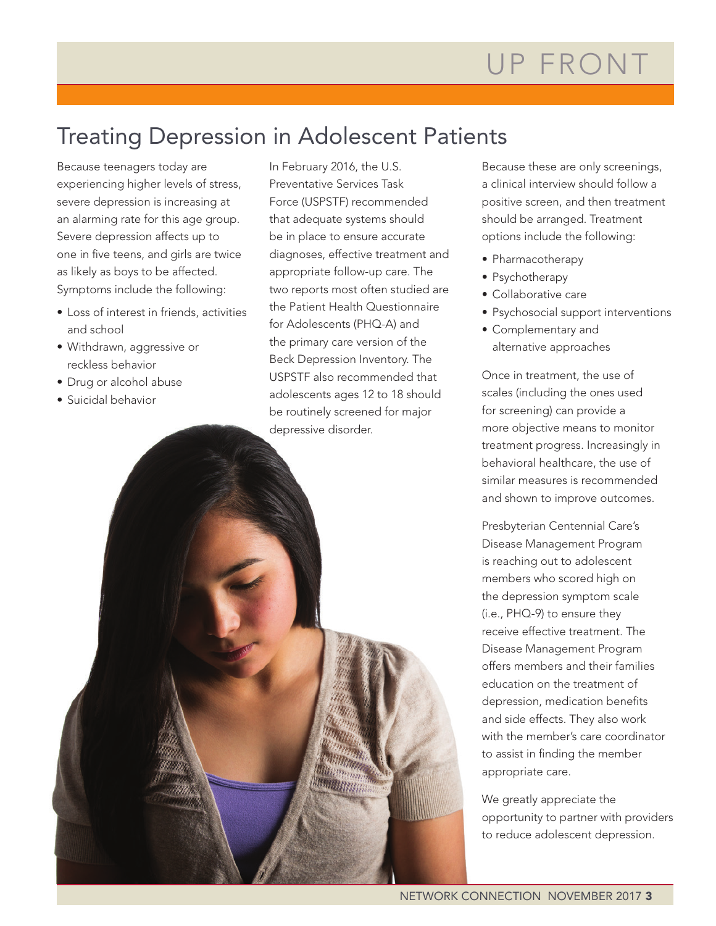### Treating Depression in Adolescent Patients

Because teenagers today are experiencing higher levels of stress, severe depression is increasing at an alarming rate for this age group. Severe depression affects up to one in five teens, and girls are twice as likely as boys to be affected. Symptoms include the following:

- Loss of interest in friends, activities and school
- Withdrawn, aggressive or reckless behavior
- Drug or alcohol abuse
- Suicidal behavior

In February 2016, the U.S. Preventative Services Task Force (USPSTF) recommended that adequate systems should be in place to ensure accurate diagnoses, effective treatment and appropriate follow-up care. The two reports most often studied are the Patient Health Questionnaire for Adolescents (PHQ-A) and the primary care version of the Beck Depression Inventory. The USPSTF also recommended that adolescents ages 12 to 18 should be routinely screened for major depressive disorder.

Mitter Street

Because these are only screenings, a clinical interview should follow a positive screen, and then treatment should be arranged. Treatment options include the following:

- Pharmacotherapy
- Psychotherapy
- Collaborative care
- Psychosocial support interventions
- Complementary and alternative approaches

Once in treatment, the use of scales (including the ones used for screening) can provide a more objective means to monitor treatment progress. Increasingly in behavioral healthcare, the use of similar measures is recommended and shown to improve outcomes.

Presbyterian Centennial Care's Disease Management Program is reaching out to adolescent members who scored high on the depression symptom scale (i.e., PHQ-9) to ensure they receive effective treatment. The Disease Management Program offers members and their families education on the treatment of depression, medication benefits and side effects. They also work with the member's care coordinator to assist in finding the member appropriate care.

We greatly appreciate the opportunity to partner with providers to reduce adolescent depression.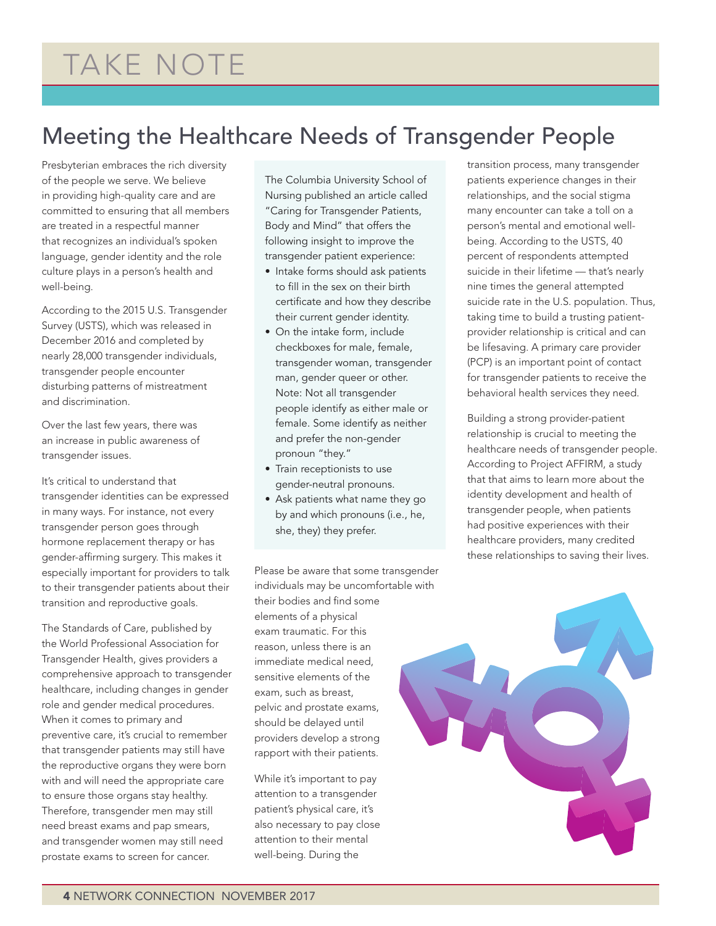# TAKE NOTE

## Meeting the Healthcare Needs of Transgender People

Presbyterian embraces the rich diversity of the people we serve. We believe in providing high-quality care and are committed to ensuring that all members are treated in a respectful manner that recognizes an individual's spoken language, gender identity and the role culture plays in a person's health and well-being.

According to the 2015 U.S. Transgender Survey (USTS), which was released in December 2016 and completed by nearly 28,000 transgender individuals, transgender people encounter disturbing patterns of mistreatment and discrimination.

Over the last few years, there was an increase in public awareness of transgender issues.

It's critical to understand that transgender identities can be expressed in many ways. For instance, not every transgender person goes through hormone replacement therapy or has gender-affirming surgery. This makes it especially important for providers to talk to their transgender patients about their transition and reproductive goals.

The Standards of Care, published by the World Professional Association for Transgender Health, gives providers a comprehensive approach to transgender healthcare, including changes in gender role and gender medical procedures. When it comes to primary and preventive care, it's crucial to remember that transgender patients may still have the reproductive organs they were born with and will need the appropriate care to ensure those organs stay healthy. Therefore, transgender men may still need breast exams and pap smears, and transgender women may still need prostate exams to screen for cancer.

The Columbia University School of Nursing published an article called "Caring for Transgender Patients, Body and Mind" that offers the following insight to improve the transgender patient experience:

- Intake forms should ask patients to fill in the sex on their birth certificate and how they describe their current gender identity.
- On the intake form, include checkboxes for male, female, transgender woman, transgender man, gender queer or other. Note: Not all transgender people identify as either male or female. Some identify as neither and prefer the non-gender pronoun "they."
- Train receptionists to use gender-neutral pronouns.
- Ask patients what name they go by and which pronouns (i.e., he, she, they) they prefer.

Please be aware that some transgender individuals may be uncomfortable with their bodies and find some elements of a physical exam traumatic. For this reason, unless there is an immediate medical need, sensitive elements of the exam, such as breast, pelvic and prostate exams, should be delayed until providers develop a strong rapport with their patients.

While it's important to pay attention to a transgender patient's physical care, it's also necessary to pay close attention to their mental well-being. During the

transition process, many transgender patients experience changes in their relationships, and the social stigma many encounter can take a toll on a person's mental and emotional wellbeing. According to the USTS, 40 percent of respondents attempted suicide in their lifetime — that's nearly nine times the general attempted suicide rate in the U.S. population. Thus, taking time to build a trusting patientprovider relationship is critical and can be lifesaving. A primary care provider (PCP) is an important point of contact for transgender patients to receive the behavioral health services they need.

Building a strong provider-patient relationship is crucial to meeting the healthcare needs of transgender people. According to Project AFFIRM, a study that that aims to learn more about the identity development and health of transgender people, when patients had positive experiences with their healthcare providers, many credited these relationships to saving their lives.

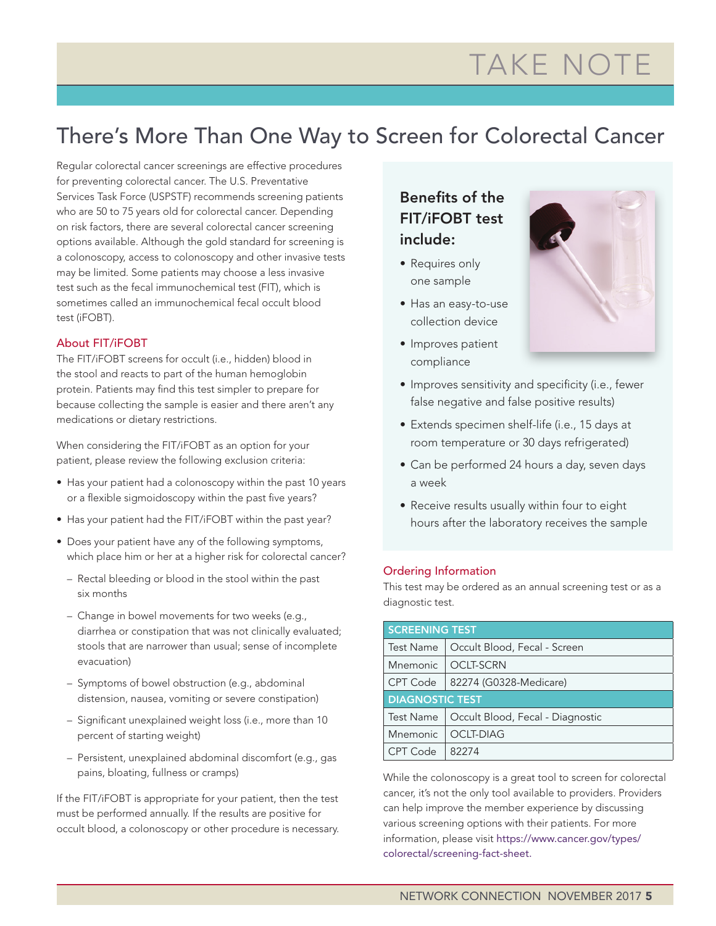# TAKE NOTE

### There's More Than One Way to Screen for Colorectal Cancer

Regular colorectal cancer screenings are effective procedures for preventing colorectal cancer. The U.S. Preventative Services Task Force (USPSTF) recommends screening patients who are 50 to 75 years old for colorectal cancer. Depending on risk factors, there are several colorectal cancer screening options available. Although the gold standard for screening is a colonoscopy, access to colonoscopy and other invasive tests may be limited. Some patients may choose a less invasive test such as the fecal immunochemical test (FIT), which is sometimes called an immunochemical fecal occult blood test (iFOBT).

#### About FIT/iFOBT

The FIT/iFOBT screens for occult (i.e., hidden) blood in the stool and reacts to part of the human hemoglobin protein. Patients may find this test simpler to prepare for because collecting the sample is easier and there aren't any medications or dietary restrictions.

When considering the FIT/iFOBT as an option for your patient, please review the following exclusion criteria:

- Has your patient had a colonoscopy within the past 10 years or a flexible sigmoidoscopy within the past five years?
- Has your patient had the FIT/iFOBT within the past year?
- Does your patient have any of the following symptoms, which place him or her at a higher risk for colorectal cancer?
	- Rectal bleeding or blood in the stool within the past six months
	- Change in bowel movements for two weeks (e.g., diarrhea or constipation that was not clinically evaluated; stools that are narrower than usual; sense of incomplete evacuation)
	- Symptoms of bowel obstruction (e.g., abdominal distension, nausea, vomiting or severe constipation)
	- Significant unexplained weight loss (i.e., more than 10 percent of starting weight)
	- Persistent, unexplained abdominal discomfort (e.g., gas pains, bloating, fullness or cramps)

If the FIT/iFOBT is appropriate for your patient, then the test must be performed annually. If the results are positive for occult blood, a colonoscopy or other procedure is necessary.

### Benefits of the FIT/iFOBT test include:

- Requires only one sample
- Has an easy-to-use collection device
- Improves patient compliance



- Improves sensitivity and specificity (i.e., fewer false negative and false positive results)
- Extends specimen shelf-life (i.e., 15 days at room temperature or 30 days refrigerated)
- Can be performed 24 hours a day, seven days a week
- Receive results usually within four to eight hours after the laboratory receives the sample

#### Ordering Information

This test may be ordered as an annual screening test or as a diagnostic test.

| <b>SCREENING TEST</b>  |                                  |  |  |  |
|------------------------|----------------------------------|--|--|--|
| <b>Test Name</b>       | Occult Blood, Fecal - Screen     |  |  |  |
| <b>Mnemonic</b>        | <b>OCLT-SCRN</b>                 |  |  |  |
| CPT Code               | 82274 (G0328-Medicare)           |  |  |  |
| <b>DIAGNOSTIC TEST</b> |                                  |  |  |  |
|                        |                                  |  |  |  |
| <b>Test Name</b>       | Occult Blood, Fecal - Diagnostic |  |  |  |
| Mnemonic               | <b>OCLT-DIAG</b>                 |  |  |  |

While the colonoscopy is a great tool to screen for colorectal cancer, it's not the only tool available to providers. Providers can help improve the member experience by discussing various screening options with their patients. For more information, please visit [https://www.cancer.gov/types/](https://www.cancer.gov/types/colorectal/screening) [colorectal/screening-](https://www.cancer.gov/types/colorectal/screening)fact-sheet.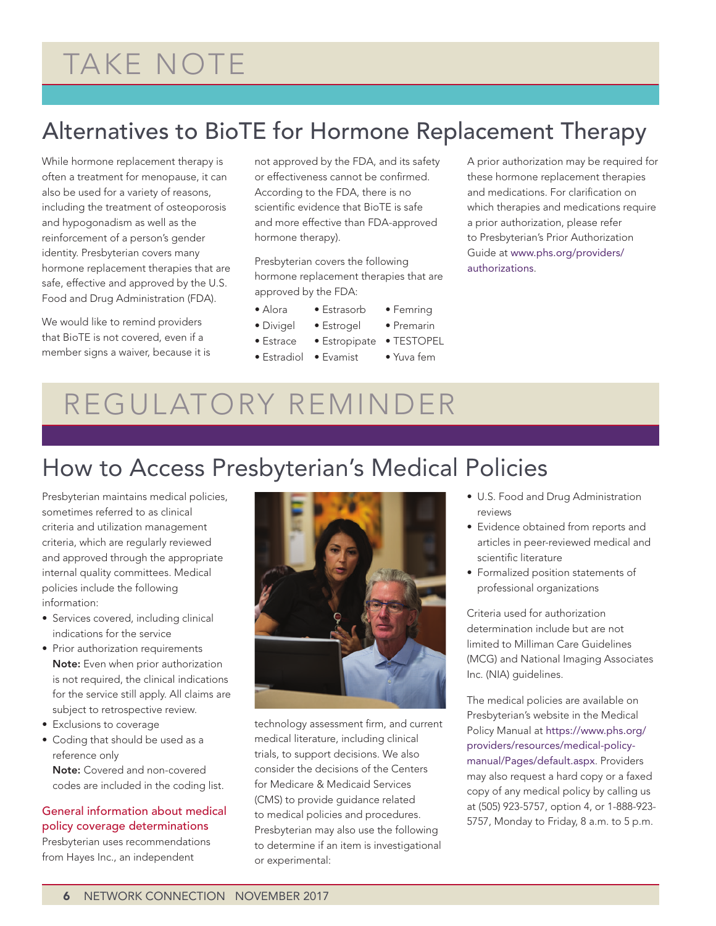# TAKE NOTE

## Alternatives to BioTE for Hormone Replacement Therapy

While hormone replacement therapy is often a treatment for menopause, it can also be used for a variety of reasons, including the treatment of osteoporosis and hypogonadism as well as the reinforcement of a person's gender identity. Presbyterian covers many hormone replacement therapies that are safe, effective and approved by the U.S. Food and Drug Administration (FDA).

We would like to remind providers that BioTE is not covered, even if a member signs a waiver, because it is not approved by the FDA, and its safety or effectiveness cannot be confirmed. According to the FDA, there is no scientific evidence that BioTE is safe and more effective than FDA-approved hormone therapy).

Presbyterian covers the following hormone replacement therapies that are approved by the FDA:

- Alora Estrasorb Femring
- Divigel Estrogel Premarin
	-
- Estrace Estropipate TESTOPEL

• Estradiol • Evamist • Yuva fem

A prior authorization may be required for these hormone replacement therapies and medications. For clarification on which therapies and medications require a prior authorization, please refer to Presbyterian's Prior Authorization Guide at [www.phs.org/providers/](http://www.phs.org/providers/authorizations) [authorizations](http://www.phs.org/providers/authorizations).

## REGULATORY REMINDER

### How to Access Presbyterian's Medical Policies

Presbyterian maintains medical policies, sometimes referred to as clinical criteria and utilization management criteria, which are regularly reviewed and approved through the appropriate internal quality committees. Medical policies include the following information:

- Services covered, including clinical indications for the service
- Prior authorization requirements Note: Even when prior authorization is not required, the clinical indications for the service still apply. All claims are subject to retrospective review.
- Exclusions to coverage
- Coding that should be used as a reference only

Note: Covered and non-covered codes are included in the coding list.

#### General information about medical policy coverage determinations

Presbyterian uses recommendations from Hayes Inc., an independent



technology assessment firm, and current medical literature, including clinical trials, to support decisions. We also consider the decisions of the Centers for Medicare & Medicaid Services (CMS) to provide guidance related to medical policies and procedures. Presbyterian may also use the following to determine if an item is investigational or experimental:

- U.S. Food and Drug Administration reviews
- Evidence obtained from reports and articles in peer-reviewed medical and scientific literature
- Formalized position statements of professional organizations

Criteria used for authorization determination include but are not limited to Milliman Care Guidelines (MCG) and National Imaging Associates Inc. (NIA) guidelines.

The medical policies are available on Presbyterian's website in the Medical Policy Manual at [https://www.phs.org/](https://www.phs.org/providers/resources/medical-policy-manual/Pages/default.aspx) [providers/resources/medical-policy](https://www.phs.org/providers/resources/medical-policy-manual/Pages/default.aspx)[manual/Pages/default.aspx](https://www.phs.org/providers/resources/medical-policy-manual/Pages/default.aspx). Providers may also request a hard copy or a faxed copy of any medical policy by calling us at (505) 923-5757, option 4, or 1-888-923- 5757, Monday to Friday, 8 a.m. to 5 p.m.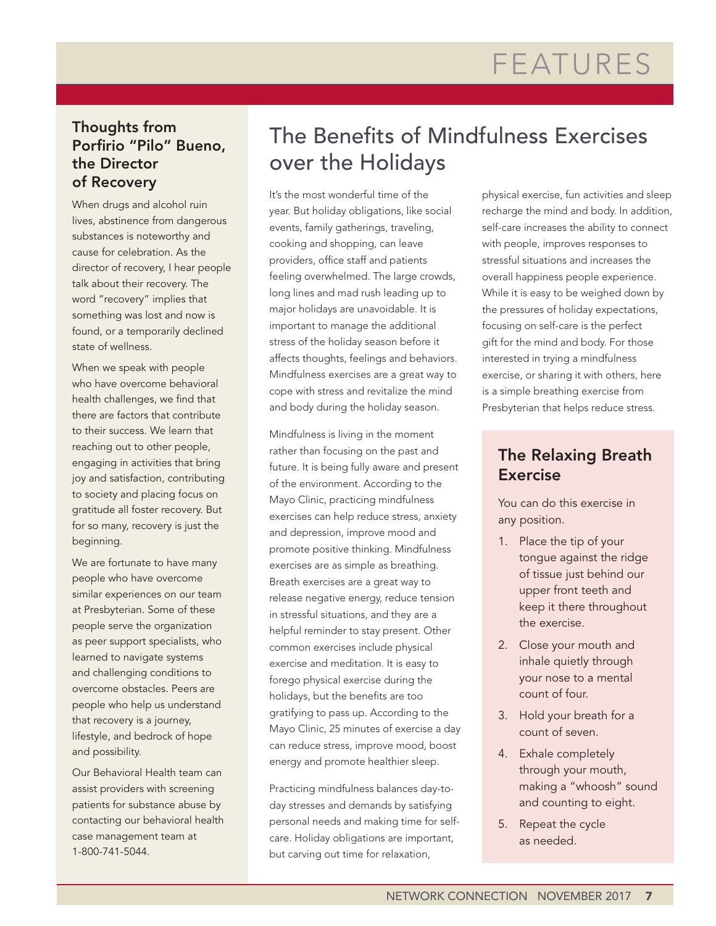### Thoughts from Porfirio "Pilo" Bueno, the Director of Recovery

When drugs and alcohol ruin lives, abstinence from dangerous substances is noteworthy and cause for celebration. As the director of recovery, I hear people talk about their recovery. The word "recovery" implies that something was lost and now is found, or a temporarily declined state of wellness.

When we speak with people who have overcome behavioral health challenges, we find that there are factors that contribute to their success. We learn that reaching out to other people, engaging in activities that bring joy and satisfaction, contributing to society and placing focus on gratitude all foster recovery. But for so many, recovery is just the beginning.

We are fortunate to have many people who have overcome similar experiences on our team at Presbyterian. Some of these people serve the organization as peer support specialists, who learned to navigate systems and challenging conditions to overcome obstacles. Peers are people who help us understand that recovery is a journey, lifestyle, and bedrock of hope and possibility.

Our Behavioral Health team can assist providers with screening patients for substance abuse by contacting our behavioral health case management team at 1-800-741-5044.

### The Benefits of Mindfulness Exercises over the Holidays

It's the most wonderful time of the year. But holiday obligations, like social events, family gatherings, traveling, cooking and shopping, can leave providers, office staff and patients feeling overwhelmed. The large crowds, long lines and mad rush leading up to major holidays are unavoidable. It is important to manage the additional stress of the holiday season before it affects thoughts, feelings and behaviors. Mindfulness exercises are a great way to cope with stress and revitalize the mind and body during the holiday season.

Mindfulness is living in the moment rather than focusing on the past and future. It is being fully aware and present of the environment. According to the Mayo Clinic, practicing mindfulness exercises can help reduce stress, anxiety and depression, improve mood and promote positive thinking. Mindfulness exercises are as simple as breathing. Breath exercises are a great way to release negative energy, reduce tension in stressful situations, and they are a helpful reminder to stay present. Other common exercises include physical exercise and meditation. It is easy to forego physical exercise during the holidays, but the benefits are too gratifying to pass up. According to the Mayo Clinic, 25 minutes of exercise a day can reduce stress, improve mood, boost energy and promote healthier sleep.

Practicing mindfulness balances day-today stresses and demands by satisfying personal needs and making time for selfcare. Holiday obligations are important, but carving out time for relaxation,

physical exercise, fun activities and sleep recharge the mind and body. In addition, self-care increases the ability to connect with people, improves responses to stressful situations and increases the overall happiness people experience. While it is easy to be weighed down by the pressures of holiday expectations, focusing on self-care is the perfect gift for the mind and body. For those interested in trying a mindfulness exercise, or sharing it with others, here is a simple breathing exercise from Presbyterian that helps reduce stress.

### The Relaxing Breath Exercise

You can do this exercise in any position.

- 1. Place the tip of your tongue against the ridge of tissue just behind our upper front teeth and keep it there throughout the exercise.
- 2. Close your mouth and inhale quietly through your nose to a mental count of four.
- 3. Hold your breath for a count of seven.
- 4. Exhale completely through your mouth, making a "whoosh" sound and counting to eight.
- 5. Repeat the cycle as needed.